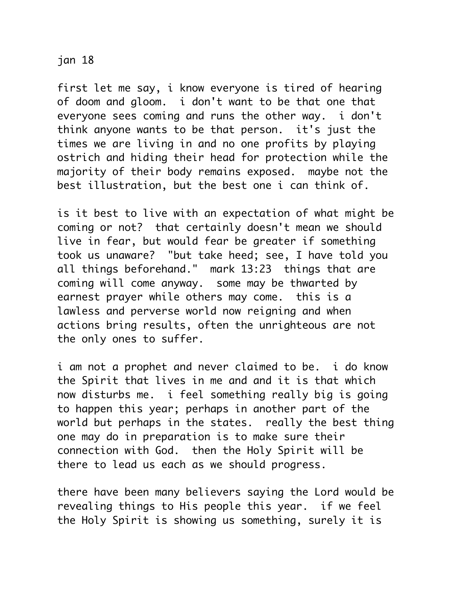jan 18

first let me say, i know everyone is tired of hearing of doom and gloom. i don't want to be that one that everyone sees coming and runs the other way. i don't think anyone wants to be that person. it's just the times we are living in and no one profits by playing ostrich and hiding their head for protection while the majority of their body remains exposed. maybe not the best illustration, but the best one i can think of.

is it best to live with an expectation of what might be coming or not? that certainly doesn't mean we should live in fear, but would fear be greater if something took us unaware? "but take heed; see, I have told you all things beforehand." mark 13:23 things that are coming will come anyway. some may be thwarted by earnest prayer while others may come. this is a lawless and perverse world now reigning and when actions bring results, often the unrighteous are not the only ones to suffer.

i am not a prophet and never claimed to be. i do know the Spirit that lives in me and and it is that which now disturbs me. i feel something really big is going to happen this year; perhaps in another part of the world but perhaps in the states. really the best thing one may do in preparation is to make sure their connection with God. then the Holy Spirit will be there to lead us each as we should progress.

there have been many believers saying the Lord would be revealing things to His people this year. if we feel the Holy Spirit is showing us something, surely it is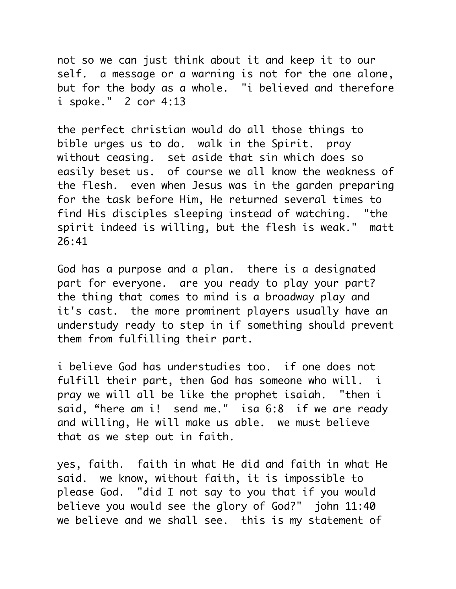not so we can just think about it and keep it to our self. a message or a warning is not for the one alone, but for the body as a whole. "i believed and therefore i spoke." 2 cor 4:13

the perfect christian would do all those things to bible urges us to do. walk in the Spirit. pray without ceasing. set aside that sin which does so easily beset us. of course we all know the weakness of the flesh. even when Jesus was in the garden preparing for the task before Him, He returned several times to find His disciples sleeping instead of watching. "the spirit indeed is willing, but the flesh is weak." matt 26:41

God has a purpose and a plan. there is a designated part for everyone. are you ready to play your part? the thing that comes to mind is a broadway play and it's cast. the more prominent players usually have an understudy ready to step in if something should prevent them from fulfilling their part.

i believe God has understudies too. if one does not fulfill their part, then God has someone who will. i pray we will all be like the prophet isaiah. "then i said, "here am i! send me." isa 6:8 if we are ready and willing, He will make us able. we must believe that as we step out in faith.

yes, faith. faith in what He did and faith in what He said. we know, without faith, it is impossible to please God. "did I not say to you that if you would believe you would see the glory of God?" john 11:40 we believe and we shall see. this is my statement of